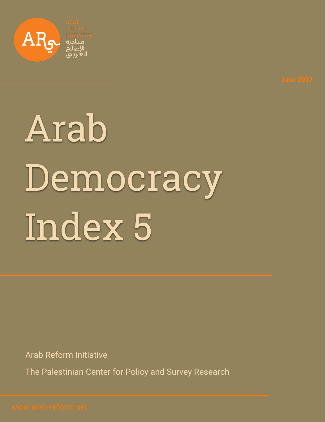

# Arab Democracy Index 5

Arab Reform Initiative

The Palestinian Center for Policy and Survey Research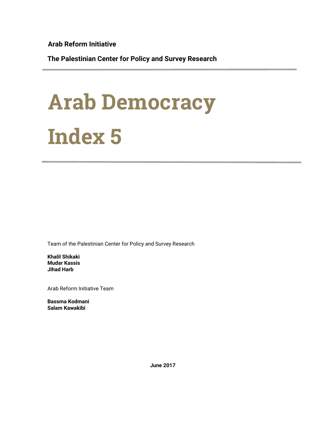**Arab Reform Initiative**

**The Palestinian Center for Policy and Survey Research**

## Arab Democracy Index 5

Team of the Palestinian Center for Policy and Survey Research

**Khalil Shikaki Mudar Kassis Jihad Harb**

Arab Reform Initiative Team

**Bassma Kodmani Salam Kawakibi**

**June 2017**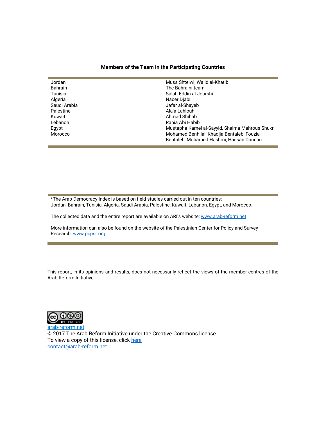#### **Members of the Team in the Participating Countries**

| Jordan         | Musa Shteiwi, Walid al-Khatib                  |
|----------------|------------------------------------------------|
| <b>Bahrain</b> | The Bahraini team                              |
| Tunisia        | Salah Eddin al-Jourshi                         |
| Algeria        | Nacer Diabi                                    |
| Saudi Arabia   | Jafar al-Shayeb                                |
| Palestine      | Ala'a Lahlouh                                  |
| Kuwait         | Ahmad Shihab                                   |
| Lebanon        | Rania Abi Habib                                |
| Egypt          | Mustapha Kamel al-Sayyid, Shaima Mahrous Shukr |
| Morocco        | Mohamed Benhilal, Khadija Bentaleb, Fouzia     |
|                | Bentaleb, Mohamed Hashmi, Hassan Dannan        |
|                |                                                |

\*The Arab Democracy Index is based on field studies carried out in ten countries: Jordan, Bahrain, Tunisia, Algeria, Saudi Arabia, Palestine, Kuwait, Lebanon, Egypt, and Morocco.

The collected data and the entire report are available on ARI's website[: www.arab-reform.net](http://www.arab-reform.net/)

More information can also be found on the website of the Palestinian Center for Policy and Survey Research: [www.pcpsr.org.](http://www.pcpsr.org/)

This report, in its opinions and results, does not necessarily reflect the views of the member-centres of the Arab Reform Initiative.



[arab-reform.net](http://www.arab-reform.net/) **©** 2017 The Arab Reform Initiative under the Creative Commons license To view a copy of this license, click [here](file:///C:/Users/Said%20Haddadi/Google%20Drive/Publications/Acccess%20to%20information/ENGLISH/creativecommons.org/licenses/) [contact@arab-reform.net](mailto:contact@arab-reform.net)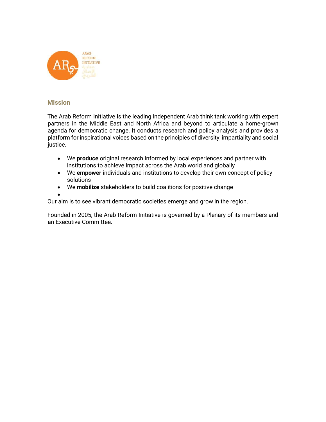

#### **Mission**

The Arab Reform Initiative is the leading independent Arab think tank working with expert partners in the Middle East and North Africa and beyond to articulate a home-grown agenda for democratic change. It conducts research and policy analysis and provides a platform for inspirational voices based on the principles of diversity, impartiality and social justice.

- We **produce** original research informed by local experiences and partner with institutions to achieve impact across the Arab world and globally
- We **empower** individuals and institutions to develop their own concept of policy solutions
- We **mobilize** stakeholders to build coalitions for positive change

• Our aim is to see vibrant democratic societies emerge and grow in the region.

Founded in 2005, the Arab Reform Initiative is governed by a Plenary of its members and an Executive Committee.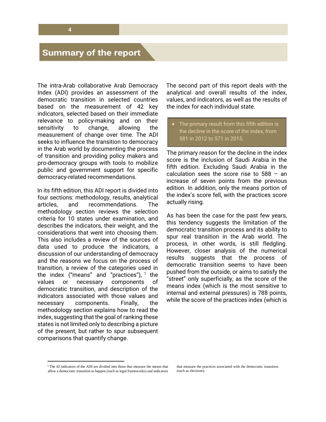### **Summary of the report**

The intra-Arab collaborative Arab Democracy Index (ADI) provides an assessment of the democratic transition in selected countries based on the measurement of 42 key indicators, selected based on their immediate relevance to policy-making and on their sensitivity to change, allowing the measurement of change over time. The ADI seeks to influence the transition to democracy in the Arab world by documenting the process of transition and providing policy makers and pro-democracy groups with tools to mobilize public and government support for specific democracy-related recommendations.

In its fifth edition, this ADI report is divided into four sections: methodology, results, analytical articles, and recommendations. The methodology section reviews the selection criteria for 10 states under examination, and describes the indicators, their weight, and the considerations that went into choosing them. This also includes a review of the sources of data used to produce the indicators, a discussion of our understanding of democracy and the reasons we focus on the process of transition, a review of the categories used in the index ("means" and "practices"),  $1$  the values or necessary components of democratic transition, and description of the indicators associated with those values and necessary components. Finally, the methodology section explains how to read the index, suggesting that the goal of ranking these states is not limited only to describing a picture of the present, but rather to spur subsequent comparisons that quantify change.

The second part of this report deals with the analytical and overall results of the index, values, and indicators, as well as the results of the index for each individual state.

The primary result from this fifth edition is the decline in the score of the index, from 581 in 2012 to 571 in 2015.

The primary reason for the decline in the index score is the inclusion of Saudi Arabia in the fifth edition. Excluding Saudi Arabia in the calculation sees the score rise to 588 – an increase of seven points from the previous edition. In addition, only the means portion of the index's score fell, with the practices score actually rising.

As has been the case for the past few years, this tendency suggests the limitation of the democratic transition process and its ability to spur real transition in the Arab world. The process, in other words, is still fledgling. However, closer analysis of the numerical results suggests that the process of democratic transition seems to have been pushed from the outside, or aims to satisfy the "street" only superficially, as the score of the means index (which is the most sensitive to internal and external pressures) is 788 points, while the score of the practices index (which is

 $\overline{a}$ 

<sup>1</sup> The 42 indicators of the ADI are divided into those that measure the means that allow a democratic transition to happen (such as legal frameworks) and indicators

that measure the practices associated with the democratic transition (such as elections).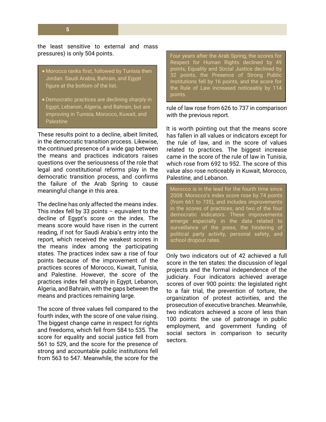**5**

the least sensitive to external and mass pressures) is only 504 points.

- Morocco ranks first, followed by Tunisia then Jordan. Saudi Arabia, Bahrain, and Egypt figure at the bottom of the list.
- Democratic practices are declining sharply in Egypt, Lebanon, Algeria, and Bahrain, but are improving in Tunisia, Morocco, Kuwait, and Palestine

These results point to a decline, albeit limited, in the democratic transition process. Likewise, the continued presence of a wide gap between the means and practices indicators raises questions over the seriousness of the role that legal and constitutional reforms play in the democratic transition process, and confirms the failure of the Arab Spring to cause meaningful change in this area.

The decline has only affected the means index. This index fell by 33 points  $-$  equivalent to the decline of Egypt's score on the index. The means score would have risen in the current reading, if not for Saudi Arabia's entry into the report, which received the weakest scores in the means index among the participating states. The practices index saw a rise of four points because of the improvement of the practices scores of Morocco, Kuwait, Tunisia, and Palestine. However, the score of the practices index fell sharply in Egypt, Lebanon, Algeria, and Bahrain, with the gaps between the means and practices remaining large.

The score of three values fell compared to the fourth index, with the score of one value rising. The biggest change came in respect for rights and freedoms, which fell from 584 to 535. The score for equality and social justice fell from 561 to 529, and the score for the presence of strong and accountable public institutions fell from 563 to 547. Meanwhile, the score for the

Four years after the Arab Spring, the scores for Respect for Human Rights declined by 49 points, Equality and Social Justice declined by 32 points, the Presence of Strong Public Institutions fell by 16 points, and the score for the Rule of Law increased noticeably by 114 points.

rule of law rose from 626 to 737 in comparison with the previous report.

It is worth pointing out that the means score has fallen in all values or indicators except for the rule of law, and in the score of values related to practices. The biggest increase came in the score of the rule of law in Tunisia, which rose from 692 to 952. The score of this value also rose noticeably in Kuwait, Morocco, Palestine, and Lebanon.

Morocco is in the lead for the fourth time since 2008: Morocco's index score rose by 74 points (from 661 to 735), and includes improvements in the scores of practices, and two of the four democratic indicators. These improvements emerge especially in the data related to surveillance of the press, the hindering of political party activity, personal safety, and school dropout rates.

Only two indicators out of 42 achieved a full score in the ten states: the discussion of legal projects and the formal independence of the judiciary. Four indicators achieved average scores of over 900 points: the legislated right to a fair trial, the prevention of torture, the organization of protest activities, and the prosecution of executive branches. Meanwhile, two indicators achieved a score of less than 100 points: the use of patronage in public employment, and government funding of social sectors in comparison to security sectors.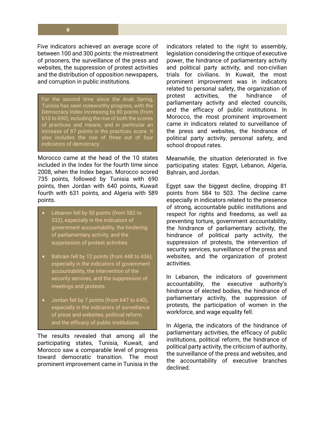Five indicators achieved an average score of between 100 and 300 points: the mistreatment of prisoners, the surveillance of the press and websites, the suppression of protest activities and the distribution of opposition newspapers, and corruption in public institutions.

For the second time since the Arab Spring, Tunisia has seen noteworthy progress, with the Democracy Index increasing by 80 points (from 610 to 690), including the rise of both the scores of practices and means, and in particular an increase of 87 points in the practices score. It also includes the rise of three out of four indicators of democracy.

Morocco came at the head of the 10 states included in the Index for the fourth time since 2008, when the Index began. Morocco scored 735 points, followed by Tunisia with 690 points, then Jordan with 640 points, Kuwait fourth with 631 points, and Algeria with 589 points.

- Lebanon fell by 50 points (from 582 to 532), especially in the indicators of government accountability, the hindering of parliamentary activity, and the suppression of protest activities.
- Bahrain fell by 12 points (from 448 to 436), especially in the indicators of government accountability, the intervention of the security services, and the suppression of meetings and protests.
- Jordan fell by 7 points (from 647 to 640), especially in the indicators of surveillance of press and websites, political reform, and the efficacy of public institutions.

The results revealed that among all the participating states, Tunisia, Kuwait, and Morocco saw a comparable level of progress toward democratic transition. The most prominent improvement came in Tunisia in the indicators related to the right to assembly, legislation considering the critique of executive power, the hindrance of parliamentary activity and political party activity, and non-civilian trials for civilians. In Kuwait, the most prominent improvement was in indicators related to personal safety, the organization of protest activities, the hindrance of parliamentary activity and elected councils, and the efficacy of public institutions. In Morocco, the most prominent improvement came in indicators related to surveillance of the press and websites, the hindrance of political party activity, personal safety, and school dropout rates.

Meanwhile, the situation deteriorated in five participating states: Egypt, Lebanon, Algeria, Bahrain, and Jordan.

Egypt saw the biggest decline, dropping 81 points from 584 to 503. The decline came especially in indicators related to the presence of strong, accountable public institutions and respect for rights and freedoms, as well as preventing torture, government accountability, the hindrance of parliamentary activity, the hindrance of political party activity, the suppression of protests, the intervention of security services, surveillance of the press and websites, and the organization of protest activities.

In Lebanon, the indicators of government accountability, the executive authority's hindrance of elected bodies, the hindrance of parliamentary activity, the suppression of protests, the participation of women in the workforce, and wage equality fell.

In Algeria, the indicators of the hindrance of parliamentary activities, the efficacy of public institutions, political reform, the hindrance of political party activity, the criticism of authority, the surveillance of the press and websites, and the accountability of executive branches declined.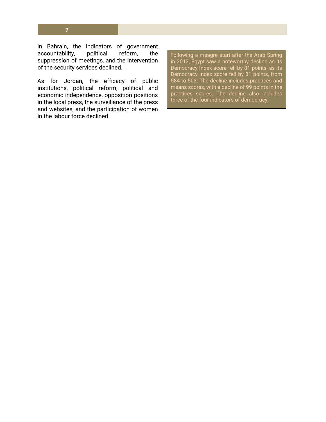**7**

In Bahrain, the indicators of government accountability, political reform, the suppression of meetings, and the intervention of the security services declined.

As for Jordan, the efficacy of public institutions, political reform, political and economic independence, opposition positions in the local press, the surveillance of the press and websites, and the participation of women in the labour force declined.

Following a meagre start after the Arab Spring in 2012, Egypt saw a noteworthy decline as its Democracy Index score fell by 81 points, as its Democracy Index score fell by 81 points, from 584 to 503. The decline includes practices and means scores, with a decline of 99 points in the practices scores. The decline also includes three of the four indicators of democracy.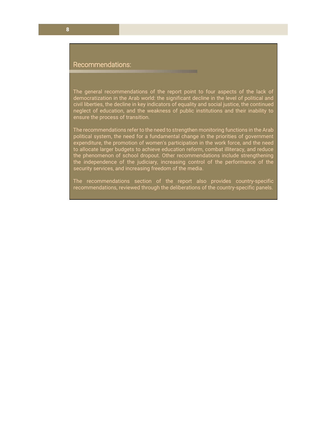#### Recommendations:

The general recommendations of the report point to four aspects of the lack of democratization in the Arab world: the significant decline in the level of political and civil liberties, the decline in key indicators of equality and social justice, the continued neglect of education, and the weakness of public institutions and their inability to ensure the process of transition.

The recommendations refer to the need to strengthen monitoring functions in the Arab political system, the need for a fundamental change in the priorities of government expenditure, the promotion of women's participation in the work force, and the need to allocate larger budgets to achieve education reform, combat illiteracy, and reduce the phenomenon of school dropout. Other recommendations include strengthening the independence of the judiciary, increasing control of the performance of the security services, and increasing freedom of the media.

The recommendations section of the report also provides country-specific recommendations, reviewed through the deliberations of the country-specific panels.